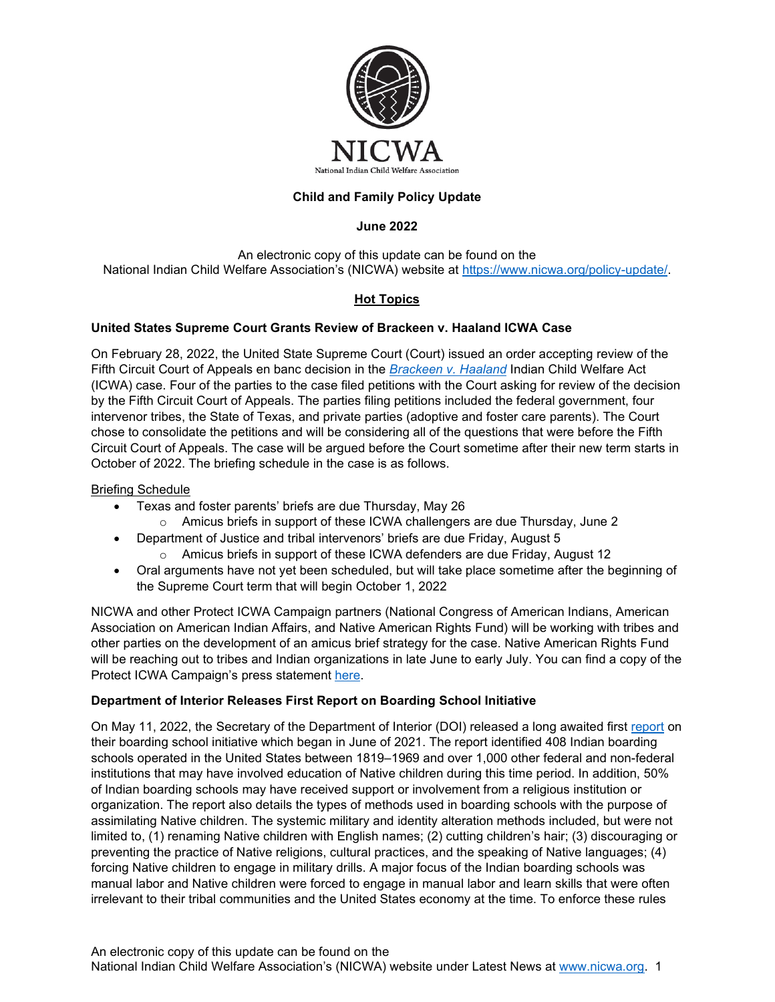

# **Child and Family Policy Update**

### **June 2022**

An electronic copy of this update can be found on the National Indian Child Welfare Association's (NICWA) website at [https://www.nicwa.org/policy-update/.](https://www.nicwa.org/policy-update/)

# **Hot Topics**

#### **United States Supreme Court Grants Review of Brackeen v. Haaland ICWA Case**

On February 28, 2022, the United State Supreme Court (Court) issued an order accepting review of the Fifth Circuit Court of Appeals en banc decision in the *[Brackeen v. Haaland](https://turtletalk.blog/texas-v-zinke-documents-and-additional-materials/texas-v-haaland-supreme-court-documents/)* Indian Child Welfare Act (ICWA) case. Four of the parties to the case filed petitions with the Court asking for review of the decision by the Fifth Circuit Court of Appeals. The parties filing petitions included the federal government, four intervenor tribes, the State of Texas, and private parties (adoptive and foster care parents). The Court chose to consolidate the petitions and will be considering all of the questions that were before the Fifth Circuit Court of Appeals. The case will be argued before the Court sometime after their new term starts in October of 2022. The briefing schedule in the case is as follows.

#### Briefing Schedule

- Texas and foster parents' briefs are due Thursday, May 26
	- o Amicus briefs in support of these ICWA challengers are due Thursday, June 2
- Department of Justice and tribal intervenors' briefs are due Friday, August 5
- $\circ$  Amicus briefs in support of these ICWA defenders are due Friday, August 12
- Oral arguments have not yet been scheduled, but will take place sometime after the beginning of the Supreme Court term that will begin October 1, 2022

NICWA and other Protect ICWA Campaign partners (National Congress of American Indians, American Association on American Indian Affairs, and Native American Rights Fund) will be working with tribes and other parties on the development of an amicus brief strategy for the case. Native American Rights Fund will be reaching out to tribes and Indian organizations in late June to early July. You can find a copy of the Protect ICWA Campaign's press statement [here.](https://www.nicwa.org/us-supreme-court-will-hear-challenge-to-icwa/)

## **Department of Interior Releases First Report on Boarding School Initiative**

On May 11, 2022, the Secretary of the Department of Interior (DOI) released a long awaited first [report](https://www.bia.gov/sites/default/files/dup/inline-files/bsi_investigative_report_may_2022_508.pdf) on their boarding school initiative which began in June of 2021. The report identified 408 Indian boarding schools operated in the United States between 1819–1969 and over 1,000 other federal and non-federal institutions that may have involved education of Native children during this time period. In addition, 50% of Indian boarding schools may have received support or involvement from a religious institution or organization. The report also details the types of methods used in boarding schools with the purpose of assimilating Native children. The systemic military and identity alteration methods included, but were not limited to, (1) renaming Native children with English names; (2) cutting children's hair; (3) discouraging or preventing the practice of Native religions, cultural practices, and the speaking of Native languages; (4) forcing Native children to engage in military drills. A major focus of the Indian boarding schools was manual labor and Native children were forced to engage in manual labor and learn skills that were often irrelevant to their tribal communities and the United States economy at the time. To enforce these rules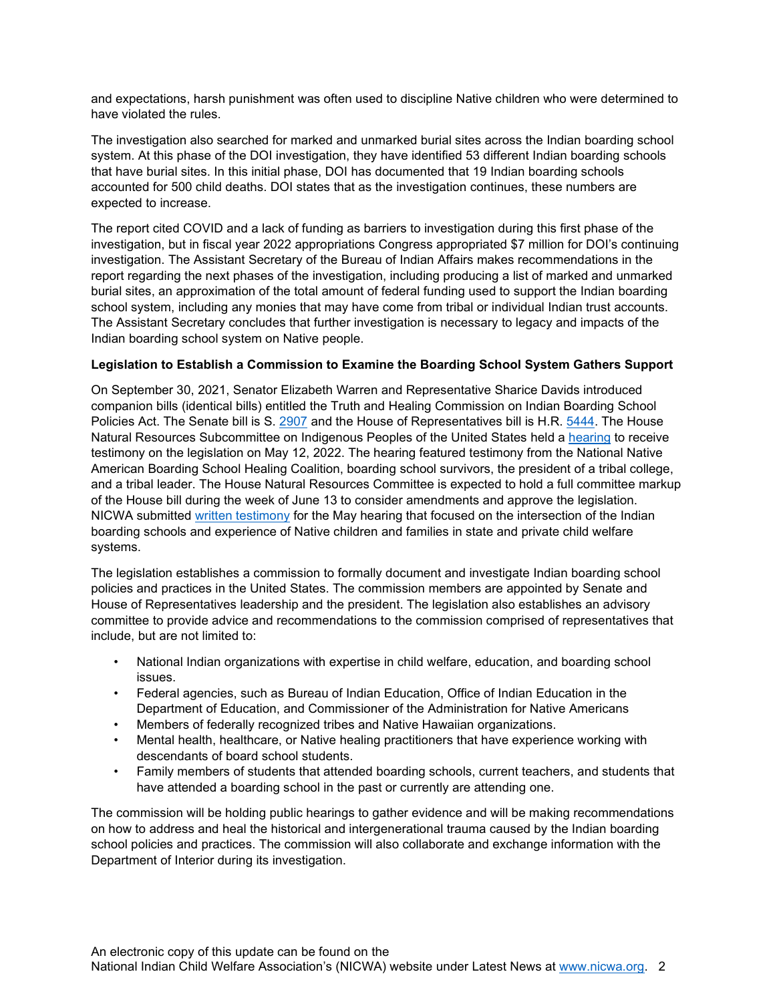and expectations, harsh punishment was often used to discipline Native children who were determined to have violated the rules.

The investigation also searched for marked and unmarked burial sites across the Indian boarding school system. At this phase of the DOI investigation, they have identified 53 different Indian boarding schools that have burial sites. In this initial phase, DOI has documented that 19 Indian boarding schools accounted for 500 child deaths. DOI states that as the investigation continues, these numbers are expected to increase.

The report cited COVID and a lack of funding as barriers to investigation during this first phase of the investigation, but in fiscal year 2022 appropriations Congress appropriated \$7 million for DOI's continuing investigation. The Assistant Secretary of the Bureau of Indian Affairs makes recommendations in the report regarding the next phases of the investigation, including producing a list of marked and unmarked burial sites, an approximation of the total amount of federal funding used to support the Indian boarding school system, including any monies that may have come from tribal or individual Indian trust accounts. The Assistant Secretary concludes that further investigation is necessary to legacy and impacts of the Indian boarding school system on Native people.

## **Legislation to Establish a Commission to Examine the Boarding School System Gathers Support**

On September 30, 2021, Senator Elizabeth Warren and Representative Sharice Davids introduced companion bills (identical bills) entitled the Truth and Healing Commission on Indian Boarding School Policies Act. The Senate bill is S. [2907](https://www.congress.gov/bill/117th-congress/senate-bill/2907/cosponsors?r=4&s=1) and the House of Representatives bill is H.R. [5444.](https://www.congress.gov/bill/117th-congress/house-bill/5444) The House Natural Resources Subcommittee on Indigenous Peoples of the United States held a [hearing](https://naturalresources.house.gov/hearings/scip-hybrid-legislative-hearing_may-12-2022) to receive testimony on the legislation on May 12, 2022. The hearing featured testimony from the National Native American Boarding School Healing Coalition, boarding school survivors, the president of a tribal college, and a tribal leader. The House Natural Resources Committee is expected to hold a full committee markup of the House bill during the week of June 13 to consider amendments and approve the legislation. NICWA submitted [written testimony](https://www.nicwa.org/wp-content/uploads/2022/06/Testimony-for-H.R.-5444-5.26.22.pdf) for the May hearing that focused on the intersection of the Indian boarding schools and experience of Native children and families in state and private child welfare systems.

The legislation establishes a commission to formally document and investigate Indian boarding school policies and practices in the United States. The commission members are appointed by Senate and House of Representatives leadership and the president. The legislation also establishes an advisory committee to provide advice and recommendations to the commission comprised of representatives that include, but are not limited to:

- National Indian organizations with expertise in child welfare, education, and boarding school issues.
- Federal agencies, such as Bureau of Indian Education, Office of Indian Education in the Department of Education, and Commissioner of the Administration for Native Americans
- Members of federally recognized tribes and Native Hawaiian organizations.
- Mental health, healthcare, or Native healing practitioners that have experience working with descendants of board school students.
- Family members of students that attended boarding schools, current teachers, and students that have attended a boarding school in the past or currently are attending one.

The commission will be holding public hearings to gather evidence and will be making recommendations on how to address and heal the historical and intergenerational trauma caused by the Indian boarding school policies and practices. The commission will also collaborate and exchange information with the Department of Interior during its investigation.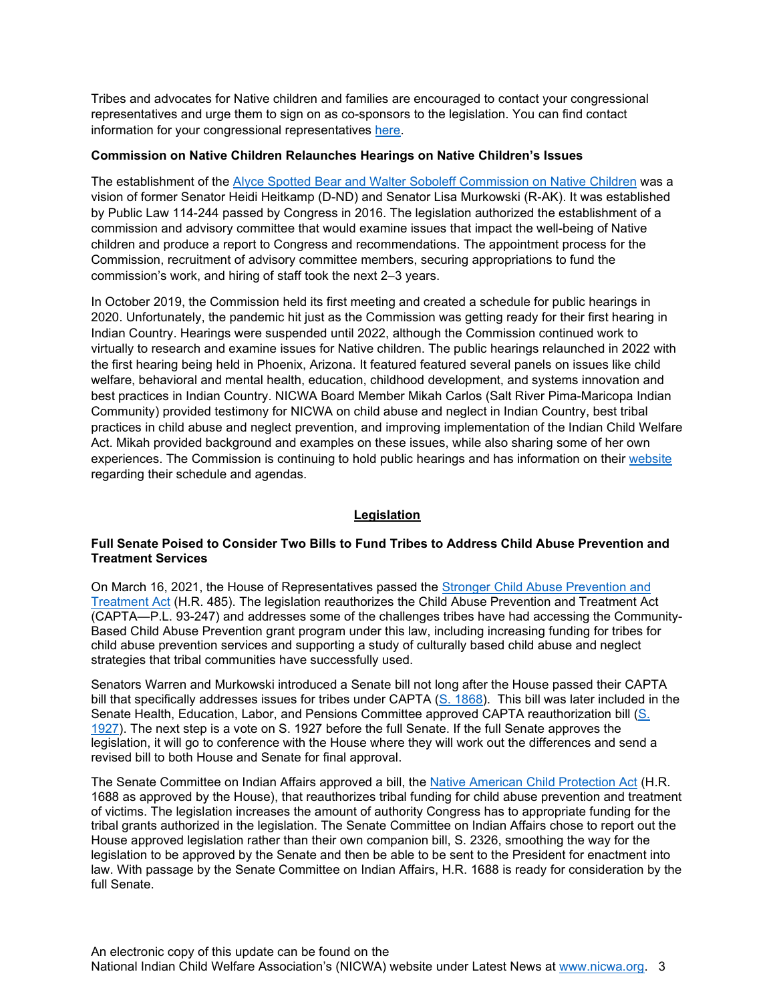Tribes and advocates for Native children and families are encouraged to contact your congressional representatives and urge them to sign on as co-sponsors to the legislation. You can find contact information for your congressional representatives [here.](https://www.congress.gov/members/find-your-member)

#### **Commission on Native Children Relaunches Hearings on Native Children's Issues**

The establishment of the [Alyce Spotted Bear and Walter Soboleff Commission on Native Children](https://www.congress.gov/114/plaws/publ244/PLAW-114publ244.pdf) was a vision of former Senator Heidi Heitkamp (D-ND) and Senator Lisa Murkowski (R-AK). It was established by Public Law 114-244 passed by Congress in 2016. The legislation authorized the establishment of a commission and advisory committee that would examine issues that impact the well-being of Native children and produce a report to Congress and recommendations. The appointment process for the Commission, recruitment of advisory committee members, securing appropriations to fund the commission's work, and hiring of staff took the next 2–3 years.

In October 2019, the Commission held its first meeting and created a schedule for public hearings in 2020. Unfortunately, the pandemic hit just as the Commission was getting ready for their first hearing in Indian Country. Hearings were suspended until 2022, although the Commission continued work to virtually to research and examine issues for Native children. The public hearings relaunched in 2022 with the first hearing being held in Phoenix, Arizona. It featured featured several panels on issues like child welfare, behavioral and mental health, education, childhood development, and systems innovation and best practices in Indian Country. NICWA Board Member Mikah Carlos (Salt River Pima-Maricopa Indian Community) provided testimony for NICWA on child abuse and neglect in Indian Country, best tribal practices in child abuse and neglect prevention, and improving implementation of the Indian Child Welfare Act. Mikah provided background and examples on these issues, while also sharing some of her own experiences. The Commission is continuing to hold public hearings and has information on their [website](https://commissiononnativechildren.org/) regarding their schedule and agendas.

## **Legislation**

#### **Full Senate Poised to Consider Two Bills to Fund Tribes to Address Child Abuse Prevention and Treatment Services**

On March 16, 2021, the House of Representatives passed the [Stronger Child Abuse Prevention and](https://www.congress.gov/bill/117th-congress/house-bill/485/text?r=5&s=1)  [Treatment Act](https://www.congress.gov/bill/117th-congress/house-bill/485/text?r=5&s=1) (H.R. 485). The legislation reauthorizes the Child Abuse Prevention and Treatment Act (CAPTA—P.L. 93-247) and addresses some of the challenges tribes have had accessing the Community-Based Child Abuse Prevention grant program under this law, including increasing funding for tribes for child abuse prevention services and supporting a study of culturally based child abuse and neglect strategies that tribal communities have successfully used.

Senators Warren and Murkowski introduced a Senate bill not long after the House passed their CAPTA bill that specifically addresses issues for tribes under CAPTA [\(S. 1868\)](https://www.congress.gov/bill/117th-congress/senate-bill/1868/all-info). This bill was later included in the Senate Health, Education, Labor, and Pensions Committee approved CAPTA reauthorization bill [\(S.](https://www.congress.gov/bill/117th-congress/senate-bill/1927)  [1927\)](https://www.congress.gov/bill/117th-congress/senate-bill/1927). The next step is a vote on S. 1927 before the full Senate. If the full Senate approves the legislation, it will go to conference with the House where they will work out the differences and send a revised bill to both House and Senate for final approval.

The Senate Committee on Indian Affairs approved a bill, the [Native American Child Protection Act](https://www.congress.gov/bill/117th-congress/senate-bill/2326) (H.R. 1688 as approved by the House), that reauthorizes tribal funding for child abuse prevention and treatment of victims. The legislation increases the amount of authority Congress has to appropriate funding for the tribal grants authorized in the legislation. The Senate Committee on Indian Affairs chose to report out the House approved legislation rather than their own companion bill, S. 2326, smoothing the way for the legislation to be approved by the Senate and then be able to be sent to the President for enactment into law. With passage by the Senate Committee on Indian Affairs, H.R. 1688 is ready for consideration by the full Senate.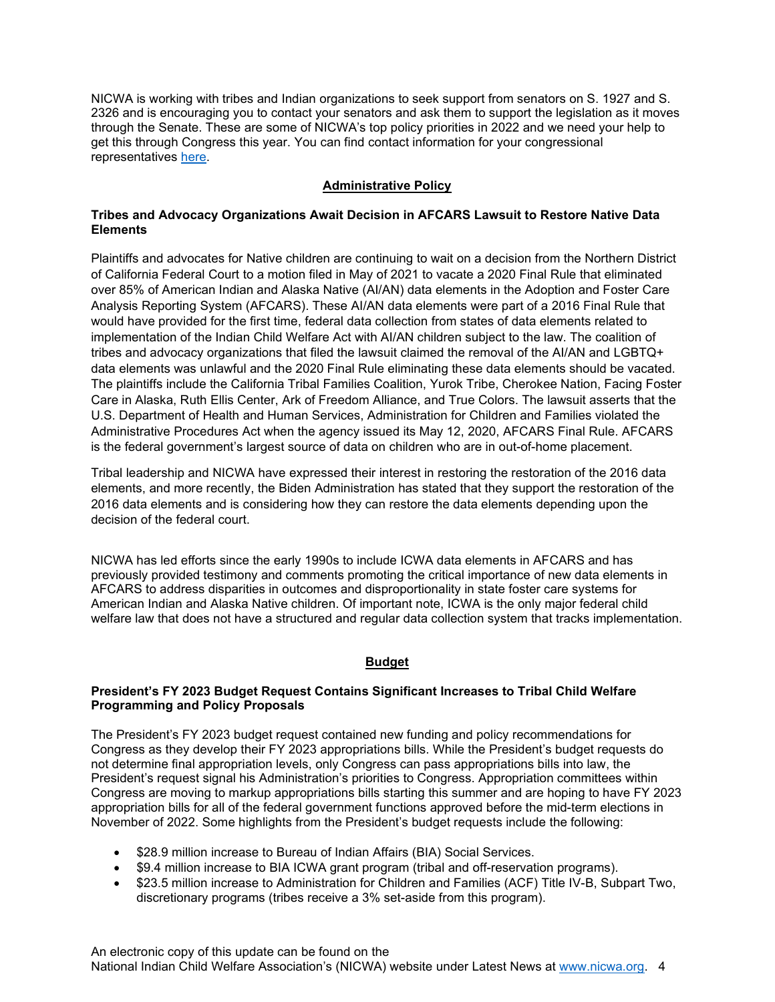NICWA is working with tribes and Indian organizations to seek support from senators on S. 1927 and S. 2326 and is encouraging you to contact your senators and ask them to support the legislation as it moves through the Senate. These are some of NICWA's top policy priorities in 2022 and we need your help to get this through Congress this year. You can find contact information for your congressional representatives [here.](https://www.congress.gov/members/find-your-member)

# **Administrative Policy**

#### **Tribes and Advocacy Organizations Await Decision in AFCARS Lawsuit to Restore Native Data Elements**

Plaintiffs and advocates for Native children are continuing to wait on a decision from the Northern District of California Federal Court to a motion filed in May of 2021 to vacate a 2020 Final Rule that eliminated over 85% of American Indian and Alaska Native (AI/AN) data elements in the Adoption and Foster Care Analysis Reporting System (AFCARS). These AI/AN data elements were part of a 2016 Final Rule that would have provided for the first time, federal data collection from states of data elements related to implementation of the Indian Child Welfare Act with AI/AN children subject to the law. The coalition of tribes and advocacy organizations that filed the [lawsuit](https://turtletalk.files.wordpress.com/2020/08/035119651658-1.pdf) claimed the removal of the AI/AN and LGBTQ+ data elements was unlawful and the 2020 Final Rule eliminating these data elements should be vacated. The plaintiffs include the California Tribal Families Coalition, Yurok Tribe, Cherokee Nation, Facing Foster Care in Alaska, Ruth Ellis Center, Ark of Freedom Alliance, and True Colors. The lawsuit asserts that the U.S. Department of Health and Human Services, Administration for Children and Families violated the Administrative Procedures Act when the agency issued its May 12, 2020, AFCARS Final Rule. AFCARS is the federal government's largest source of data on children who are in out-of-home placement.

Tribal leadership and NICWA have expressed their interest in restoring the restoration of the 2016 data elements, and more recently, the Biden Administration has stated that they support the restoration of the 2016 data elements and is considering how they can restore the data elements depending upon the decision of the federal court.

NICWA has led efforts since the early 1990s to include ICWA data elements in AFCARS and has previously provided testimony and comments promoting the critical importance of new data elements in AFCARS to address disparities in outcomes and disproportionality in state foster care systems for American Indian and Alaska Native children. Of important note, ICWA is the only major federal child welfare law that does not have a structured and regular data collection system that tracks implementation.

## **Budget**

#### **President's FY 2023 Budget Request Contains Significant Increases to Tribal Child Welfare Programming and Policy Proposals**

The President's FY 2023 budget request contained new funding and policy recommendations for Congress as they develop their FY 2023 appropriations bills. While the President's budget requests do not determine final appropriation levels, only Congress can pass appropriations bills into law, the President's request signal his Administration's priorities to Congress. Appropriation committees within Congress are moving to markup appropriations bills starting this summer and are hoping to have FY 2023 appropriation bills for all of the federal government functions approved before the mid-term elections in November of 2022. Some highlights from the President's budget requests include the following:

- \$28.9 million increase to Bureau of Indian Affairs (BIA) Social Services.
- \$9.4 million increase to BIA ICWA grant program (tribal and off-reservation programs).
- \$23.5 million increase to Administration for Children and Families (ACF) Title IV-B, Subpart Two, discretionary programs (tribes receive a 3% set-aside from this program).